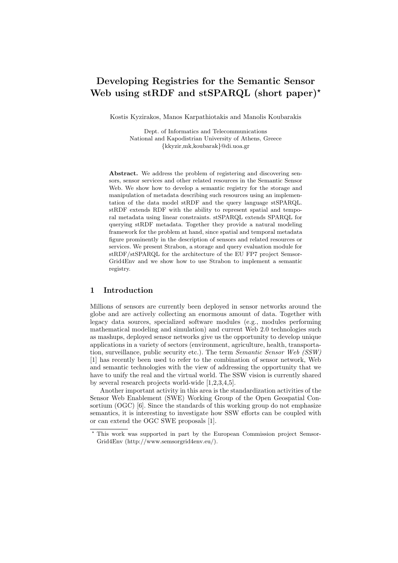# **Developing Registries for the Semantic Sensor Web using stRDF and stSPARQL (short paper)***<sup>⋆</sup>*

Kostis Kyzirakos, Manos Karpathiotakis and Manolis Koubarakis

Dept. of Informatics and Telecommunications National and Kapodistrian University of Athens, Greece *{*kkyzir,mk,koubarak*}*@di.uoa.gr

**Abstract.** We address the problem of registering and discovering sensors, sensor services and other related resources in the Semantic Sensor Web. We show how to develop a semantic registry for the storage and manipulation of metadata describing such resources using an implementation of the data model stRDF and the query language stSPARQL. stRDF extends RDF with the ability to represent spatial and temporal metadata using linear constraints. stSPARQL extends SPARQL for querying stRDF metadata. Together they provide a natural modeling framework for the problem at hand, since spatial and temporal metadata figure prominently in the description of sensors and related resources or services. We present Strabon, a storage and query evaluation module for stRDF/stSPARQL for the architecture of the EU FP7 project Semsor-Grid4Env and we show how to use Strabon to implement a semantic registry.

# **1 Introduction**

Millions of sensors are currently been deployed in sensor networks around the globe and are actively collecting an enormous amount of data. Together with legacy data sources, specialized software modules (e.g., modules performing mathematical modeling and simulation) and current Web 2.0 technologies such as mashups, deployed sensor networks give us the opportunity to develop unique applications in a variety of sectors (environment, agriculture, health, transportation, surveillance, public security etc.). The term *Semantic Sensor Web (SSW)* [1] has recently been used to refer to the combination of sensor network, Web and semantic technologies with the view of addressing the opportunity that we have to unify the real and the virtual world. The SSW vision is currently shared by several research projects world-wide [1,2,3,4,5].

Another important activity in this area is the standardization activities of the Sensor Web Enablement (SWE) Working Group of the Open Geospatial Consortium (OGC) [6]. Since the standards of this working group do not emphasize semantics, it is interesting to investigate how SSW efforts can be coupled with or can extend the OGC SWE proposals [1].

This work was supported in part by the European Commission project Semsor-Grid4Env (http://www.semsorgrid4env.eu/).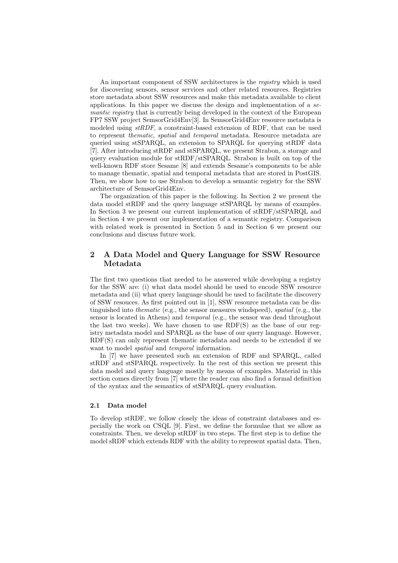An important component of SSW architectures is the *registry* which is used for discovering sensors, sensor services and other related resources. Registries store metadata about SSW resources and make this metadata available to client applications. In this paper we discuss the design and implementation of a *semantic registry* that is currently being developed in the context of the European FP7 SSW project SemsorGrid4Env[3]. In SemsorGrid4Env resource metadata is modeled using *stRDF*, a constraint-based extension of RDF, that can be used to represent *thematic*, *spatial* and *temporal* metadata. Resource metadata are queried using stSPARQL, an extension to SPARQL for querying stRDF data [7]. After introducing stRDF and stSPARQL, we present Strabon, a storage and query evaluation module for stRDF/stSPARQL. Strabon is built on top of the well-known RDF store Sesame [8] and extends Sesame's components to be able to manage thematic, spatial and temporal metadata that are stored in PostGIS. Then, we show how to use Strabon to develop a semantic registry for the SSW architecture of SemsorGrid4Env.

The organization of this paper is the following. In Section 2 we present the data model stRDF and the query language stSPARQL by means of examples. In Section 3 we present our current implementation of stRDF/stSPARQL and in Section 4 we present our implementation of a semantic registry. Comparison with related work is presented in Section 5 and in Section 6 we present our conclusions and discuss future work.

# **2 A Data Model and Query Language for SSW Resource Metadata**

The first two questions that needed to be answered while developing a registry for the SSW are: (i) what data model should be used to encode SSW resource metadata and (ii) what query language should be used to facilitate the discovery of SSW resouces. As first pointed out in [1], SSW resource metadata can be distinguished into *thematic* (e.g., the sensor measures windspeed), *spatial* (e.g., the sensor is located in Athens) and *temporal* (e.g., the sensor was dead throughout the last two weeks). We have chosen to use RDF(S) as the base of our registry metadata model and SPARQL as the base of our query language. However, RDF(S) can only represent thematic metadata and needs to be extended if we want to model *spatial* and *temporal* information.

In [7] we have presented such an extension of RDF and SPARQL, called stRDF and stSPARQL respectively. In the rest of this section we present this data model and query language mostly by means of examples. Material in this section comes directly from [7] where the reader can also find a formal definition of the syntax and the semantics of stSPARQL query evaluation.

## **2.1 Data model**

To develop stRDF, we follow closely the ideas of constraint databases and especially the work on CSQL [9]. First, we define the formulae that we allow as constraints. Then, we develop stRDF in two steps. The first step is to define the model sRDF which extends RDF with the ability to represent spatial data. Then,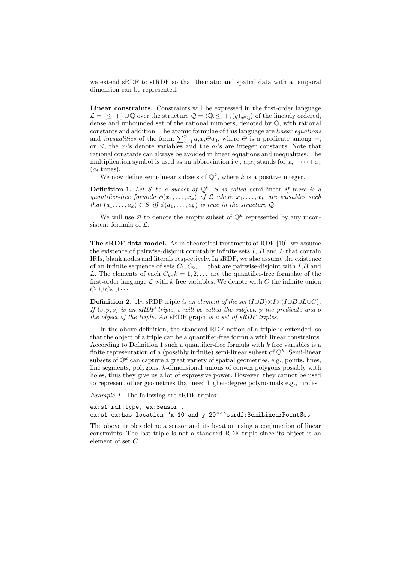we extend sRDF to stRDF so that thematic and spatial data with a temporal dimension can be represented.

**Linear constraints.** Constraints will be expressed in the first-order language *L* = {≤, +}∪Q over the structure  $Q = \langle Q, \leq, +, (q)_{q \in \mathbb{Q}} \rangle$  of the linearly ordered, dense and unbounded set of the rational numbers, denoted by Q, with rational constants and addition. The atomic formulae of this language are *linear equations* and *inequalities* of the form:  $\sum_{i=1}^{p} a_i x_i \Theta a_0$ , where  $\Theta$  is a predicate among =, or  $\leq$ , the  $x_i$ 's denote variables and the  $a_i$ 's are integer constants. Note that rational constants can always be avoided in linear equations and inequalities. The multiplication symbol is used as an abbreviation i.e.,  $a_i x_i$  stands for  $x_i + \cdots + x_i$  $(a_i \text{ times}).$ 

We now define semi-linear subsets of  $\mathbb{Q}^k$ , where *k* is a positive integer.

**Definition 1.** *Let S be a subset of* Q*<sup>k</sup> . S is called* semi-linear *if there is a quantifier-free formula*  $\phi(x_1, \ldots, x_k)$  *of*  $\mathcal L$  *where*  $x_1, \ldots, x_k$  *are variables such that*  $(a_1, \ldots, a_k) \in S$  *iff*  $\phi(a_1, \ldots, a_k)$  *is true in the structure*  $Q$ *.* 

We will use  $\emptyset$  to denote the empty subset of  $\mathbb{Q}^k$  represented by any inconsistent formula of *L*.

**The sRDF data model.** As in theoretical treatments of RDF [10], we assume the existence of pairwise-disjoint countably infinite sets *I*, *B* and *L* that contain IRIs, blank nodes and literals respectively. In sRDF, we also assume the existence of an infinite sequence of sets  $C_1, C_2, \ldots$  that are pairwise-disjoint with  $I, B$  and *L*. The elements of each  $C_k$ ,  $k = 1, 2, \ldots$  are the quantifier-free formulae of the first-order language  $\mathcal L$  with  $k$  free variables. We denote with  $C$  the infinite union  $C_1 \cup C_2 \cup \cdots$ .

**Definition 2.** An sRDF triple is an element of the set  $(I \cup B) \times I \times (I \cup B \cup L \cup C)$ . *If* (*s, p, o*) *is an sRDF triple, s will be called the subject, p the predicate and o the object of the triple. An* sRDF graph *is a set of sRDF triples.*

In the above definition, the standard RDF notion of a triple is extended, so that the object of a triple can be a quantifier-free formula with linear constraints. According to Definition 1 such a quantifier-free formula with *k* free variables is a finite representation of a (possibly infinite) semi-linear subset of  $\mathbb{Q}^k$ . Semi-linear subsets of  $\mathbb{Q}^k$  can capture a great variety of spatial geometries, e.g., points, lines, line segments, polygons, *k*-dimensional unions of convex polygons possibly with holes, thus they give us a lot of expressive power. However, they cannot be used to represent other geometries that need higher-degree polynomials e.g., circles.

*Example 1.* The following are sRDF triples:

ex:s1 rdf:type, ex:Sensor . ex:s1 ex:has\_location "x=10 and y=20"^^strdf:SemiLinearPointSet

The above triples define a sensor and its location using a conjunction of linear constraints. The last triple is not a standard RDF triple since its object is an element of set *C*.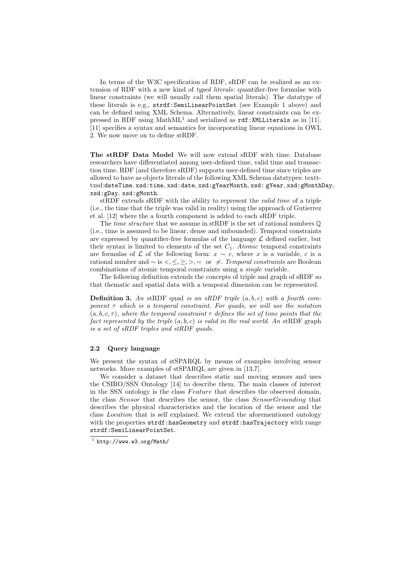In terms of the W3C specification of RDF, sRDF can be realized as an extension of RDF with a new kind of *typed literals*: quantifier-free formulae with linear constraints (we will usually call them spatial literals). The datatype of these literals is e.g., strdf:SemiLinearPointSet (see Example 1 above) and can be defined using XML Schema. Alternatively, linear constraints can be expressed in RDF using  $MathML^1$  and serialized as  $rdf:XMLLiterals$  as in [11]. [11] specifies a syntax and semantics for incorporating linear equations in OWL 2. We now move on to define stRDF.

**The stRDF Data Model** We will now extend sRDF with time. Database researchers have differentiated among user-defined time, valid time and transaction time. RDF (and therefore sRDF) supports user-defined time since triples are allowed to have as objects literals of the following XML Schema datatypes: textttxsd:dateTime, xsd:time, xsd:date, xsd:gYearMonth, xsd: gYear, xsd:gMonthDay, xsd:gDay, xsd:gMonth.

stRDF extends sRDF with the ability to represent the *valid time* of a triple (i.e., the time that the triple was valid in reality) using the approach of Gutierrez et al. [12] where the a fourth component is added to each sRDF triple.

The *time structure* that we assume in stRDF is the set of rational numbers Q (i.e., time is assumed to be linear, dense and unbounded). Temporal constraints are expressed by quantifier-free formulas of the language  $\mathcal L$  defined earlier, but their syntax is limited to elements of the set  $C_1$ . *Atomic* temporal constraints are formulas of  $\mathcal L$  of the following form:  $x \sim c$ , where *x* is a variable, *c* is a rational number and  $\sim$  is  $\lt$ ,  $\leq$ ,  $\gt$ ,  $\gt$ ,  $=$  or  $\neq$ . *Temporal constraints* are Boolean combinations of atomic temporal constraints using a *single* variable.

The following definition extends the concepts of triple and graph of sRDF so that thematic and spatial data with a temporal dimension can be represented.

**Definition 3.** *An* stRDF quad *is an sRDF triple* (*a, b, c*) *with a fourth component τ which is a temporal constraint. For quads, we will use the notation*  $(a, b, c, \tau)$ *, where the temporal constraint*  $\tau$  *defines the set of time points that the fact represented by the triple* (*a, b, c*) *is valid in the real world. An* stRDF graph *is a set of sRDF triples and stRDF quads.*

## **2.2 Query language**

We present the syntax of stSPARQL by means of examples involving sensor networks. More examples of stSPARQL are given in [13,7].

We consider a dataset that describes static and moving sensors and uses the CSIRO/SSN Ontology [14] to describe them. The main classes of interest in the SSN ontology is the class *F eature* that describes the observed domain, the class *Sensor* that describes the sensor, the class *SensorGrounding* that describes the physical characteristics and the location of the sensor and the class *Location* that is self explained. We extend the aforementioned ontology with the properties strdf:hasGeometry and strdf:hasTrajectory with range strdf:SemiLinearPointSet.

 $^1$  http://www.w3.org/Math/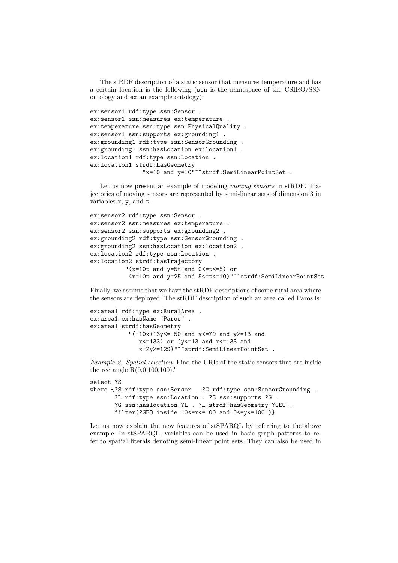The stRDF description of a static sensor that measures temperature and has a certain location is the following (ssn is the namespace of the CSIRO/SSN ontology and ex an example ontology):

```
ex:sensor1 rdf:type ssn:Sensor .
ex:sensor1 ssn:measures ex:temperature .
ex:temperature ssn:type ssn:PhysicalQuality .
ex:sensor1 ssn:supports ex:grounding1 .
ex:grounding1 rdf:type ssn:SensorGrounding .
ex:grounding1 ssn:hasLocation ex:location1 .
ex:location1 rdf:type ssn:Location .
ex:location1 strdf:hasGeometry
               "x=10 and y=10"^^strdf:SemiLinearPointSet .
```
Let us now present an example of modeling *moving sensors* in stRDF. Trajectories of moving sensors are represented by semi-linear sets of dimension 3 in variables x, y, and t.

```
ex:sensor2 rdf:type ssn:Sensor .
ex:sensor2 ssn:measures ex:temperature .
ex:sensor2 ssn:supports ex:grounding2 .
ex:grounding2 rdf:type ssn:SensorGrounding .
ex:grounding2 ssn:hasLocation ex:location2 .
ex:location2 rdf:type ssn:Location .
ex:location2 strdf:hasTrajectory
          "(x=10t and y=5t and 0<=t<=5) or
           (x=10t and y=25 and 5<=t<=10)"^^strdf:SemiLinearPointSet.
```
Finally, we assume that we have the stRDF descriptions of some rural area where the sensors are deployed. The stRDF description of such an area called Paros is:

```
ex:area1 rdf:type ex:RuralArea .
ex:area1 ex:hasName "Paros" .
ex:area1 strdf:hasGeometry
           "(-10x+13y=-50 and y=-79 and y>=13 and
              x \le 133) or (y \le 13 and x \le 133 and
              x+2y>=129)"^^strdf:SemiLinearPointSet .
```
*Example 2. Spatial selection.* Find the URIs of the static sensors that are inside the rectangle R(0,0,100,100)?

```
select ?S
where {?S rdf:type ssn:Sensor . ?G rdf:type ssn:SensorGrounding .
      ?L rdf:type ssn:Location . ?S ssn:supports ?G .
      ?G ssn:haslocation ?L . ?L strdf:hasGeometry ?GEO .
      filter(?GEO inside "0<=x<=100 and 0<=y<=100")}
```
Let us now explain the new features of stSPARQL by referring to the above example. In stSPARQL, variables can be used in basic graph patterns to refer to spatial literals denoting semi-linear point sets. They can also be used in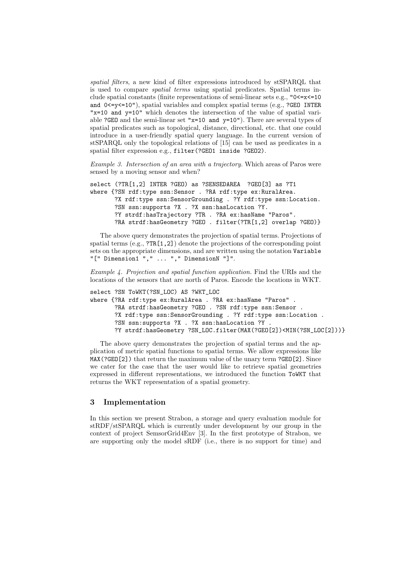*spatial filters*, a new kind of filter expressions introduced by stSPARQL that is used to compare *spatial terms* using spatial predicates. Spatial terms include spatial constants (finite representations of semi-linear sets e.g., "0<=x<=10 and  $0 \le y \le 10$ "), spatial variables and complex spatial terms (e.g., ?GEO INTER "x=10 and y=10" which denotes the intersection of the value of spatial variable ?GEO and the semi-linear set "x=10 and y=10"). There are several types of spatial predicates such as topological, distance, directional, etc. that one could introduce in a user-friendly spatial query language. In the current version of stSPARQL only the topological relations of [15] can be used as predicates in a spatial filter expression e.g., filter(?GEO1 inside ?GEO2).

*Example 3. Intersection of an area with a trajectory.* Which areas of Paros were sensed by a moving sensor and when?

```
select (?TR[1,2] INTER ?GEO) as ?SENSEDAREA ?GEO[3] as ?T1
where {?SN rdf:type ssn:Sensor . ?RA rdf:type ex:RuralArea.
      ?X rdf:type ssn:SensorGrounding . ?Y rdf:type ssn:Location.
      ?SN ssn:supports ?X . ?X ssn:hasLocation ?Y.
      ?Y strdf:hasTrajectory ?TR . ?RA ex:hasName "Paros".
      ?RA strdf:hasGeometry ?GEO . filter(?TR[1,2] overlap ?GEO)}
```
The above query demonstrates the projection of spatial terms. Projections of spatial terms  $(e.g., ?TR[1,2])$  denote the projections of the corresponding point sets on the appropriate dimensions, and are written using the notation Variable "[" Dimension1 "," ... "," DimensionN "]".

*Example 4. Projection and spatial function application.* Find the URIs and the locations of the sensors that are north of Paros. Encode the locations in WKT.

```
select ?SN ToWKT(?SN_LOC) AS ?WKT_LOC
where {?RA rdf:type ex:RuralArea . ?RA ex:hasName "Paros" .
      ?RA strdf:hasGeometry ?GEO . ?SN rdf:type ssn:Sensor .
      ?X rdf:type ssn:SensorGrounding . ?Y rdf:type ssn:Location .
      ?SN ssn:supports ?X . ?X ssn:hasLocation ?Y .
      ?Y strdf:hasGeometry ?SN_LOC.filter(MAX(?GEO[2])<MIN(?SN_LOC[2]))}
```
The above query demonstrates the projection of spatial terms and the application of metric spatial functions to spatial terms. We allow expressions like MAX(?GEO[2]) that return the maximum value of the unary term ?GEO[2]. Since we cater for the case that the user would like to retrieve spatial geometries expressed in different representations, we introduced the function ToWKT that returns the WKT representation of a spatial geometry.

# **3 Implementation**

In this section we present Strabon, a storage and query evaluation module for stRDF/stSPARQL which is currently under development by our group in the context of project SemsorGrid4Env [3]. In the first prototype of Strabon, we are supporting only the model sRDF (i.e., there is no support for time) and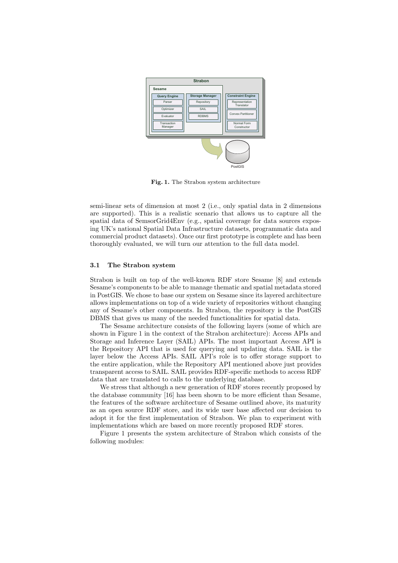

**Fig. 1.** The Strabon system architecture

semi-linear sets of dimension at most 2 (i.e., only spatial data in 2 dimensions are supported). This is a realistic scenario that allows us to capture all the spatial data of SemsorGrid4Env (e.g., spatial coverage for data sources exposing UK's national Spatial Data Infrastructure datasets, programmatic data and commercial product datasets). Once our first prototype is complete and has been thoroughly evaluated, we will turn our attention to the full data model.

#### **3.1 The Strabon system**

Strabon is built on top of the well-known RDF store Sesame [8] and extends Sesame's components to be able to manage thematic and spatial metadata stored in PostGIS. We chose to base our system on Sesame since its layered architecture allows implementations on top of a wide variety of repositories without changing any of Sesame's other components. In Strabon, the repository is the PostGIS DBMS that gives us many of the needed functionalities for spatial data.

The Sesame architecture consists of the following layers (some of which are shown in Figure 1 in the context of the Strabon architecture): Access APIs and Storage and Inference Layer (SAIL) APIs. The most important Access API is the Repository API that is used for querying and updating data. SAIL is the layer below the Access APIs. SAIL API's role is to offer storage support to the entire application, while the Repository API mentioned above just provides transparent access to SAIL. SAIL provides RDF-specific methods to access RDF data that are translated to calls to the underlying database.

We stress that although a new generation of RDF stores recently proposed by the database community [16] has been shown to be more efficient than Sesame, the features of the software architecture of Sesame outlined above, its maturity as an open source RDF store, and its wide user base affected our decision to adopt it for the first implementation of Strabon. We plan to experiment with implementations which are based on more recently proposed RDF stores.

Figure 1 presents the system architecture of Strabon which consists of the following modules: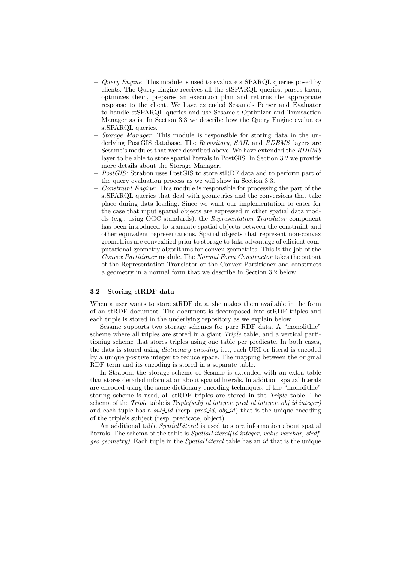- **–** *Query Engine*: This module is used to evaluate stSPARQL queries posed by clients. The Query Engine receives all the stSPARQL queries, parses them, optimizes them, prepares an execution plan and returns the appropriate response to the client. We have extended Sesame's Parser and Evaluator to handle stSPARQL queries and use Sesame's Optimizer and Transaction Manager as is. In Section 3.3 we describe how the Query Engine evaluates stSPARQL queries.
- *Storage Manager*: This module is responsible for storing data in the underlying PostGIS database. The *Repository*, *SAIL* and *RDBMS* layers are Sesame's modules that were described above. We have extended the *RDBMS* layer to be able to store spatial literals in PostGIS. In Section 3.2 we provide more details about the Storage Manager.
- **–** *PostGIS*: Strabon uses PostGIS to store stRDF data and to perform part of the query evaluation process as we will show in Section 3.3.
- **–** *Constraint Engine*: This module is responsible for processing the part of the stSPARQL queries that deal with geometries and the conversions that take place during data loading. Since we want our implementation to cater for the case that input spatial objects are expressed in other spatial data models (e.g., using OGC standards), the *Representation Translator* component has been introduced to translate spatial objects between the constraint and other equivalent representations. Spatial objects that represent non-convex geometries are convexified prior to storage to take advantage of efficient computational geometry algorithms for convex geometries. This is the job of the *Convex Partitioner* module. The *Normal Form Constructor* takes the output of the Representation Translator or the Convex Partitioner and constructs a geometry in a normal form that we describe in Section 3.2 below.

# **3.2 Storing stRDF data**

When a user wants to store stRDF data, she makes them available in the form of an stRDF document. The document is decomposed into stRDF triples and each triple is stored in the underlying repository as we explain below.

Sesame supports two storage schemes for pure RDF data. A "monolithic" scheme where all triples are stored in a giant *Triple* table, and a vertical partitioning scheme that stores triples using one table per predicate. In both cases, the data is stored using *dictionary encoding* i.e., each URI or literal is encoded by a unique positive integer to reduce space. The mapping between the original RDF term and its encoding is stored in a separate table.

In Strabon, the storage scheme of Sesame is extended with an extra table that stores detailed information about spatial literals. In addition, spatial literals are encoded using the same dictionary encoding techniques. If the "monolithic" storing scheme is used, all stRDF triples are stored in the *Triple* table. The schema of the *Triple* table is *Triple(subj id integer, pred id integer, obj id integer)* and each tuple has a *subj* id (resp. *pred* id,  $obj$  id) that is the unique encoding of the triple's subject (resp. predicate, object).

An additional table *SpatialLiteral* is used to store information about spatial literals. The schema of the table is *SpatialLiteral(id integer, value varchar, strdfgeo geometry)*. Each tuple in the *SpatialLiteral* table has an *id* that is the unique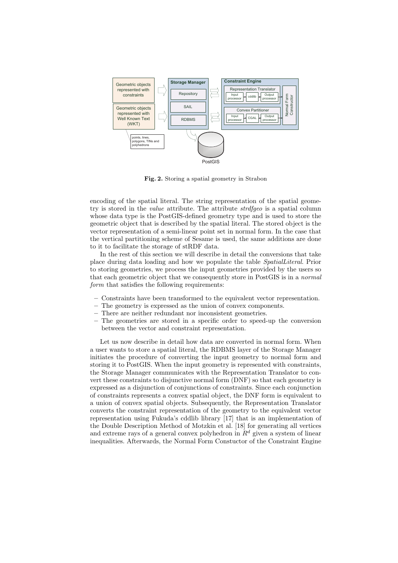

**Fig. 2.** Storing a spatial geometry in Strabon

encoding of the spatial literal. The string representation of the spatial geometry is stored in the *value* attribute. The attribute *strdfgeo* is a spatial column whose data type is the PostGIS-defined geometry type and is used to store the geometric object that is described by the spatial literal. The stored object is the vector representation of a semi-linear point set in normal form. In the case that the vertical partitioning scheme of Sesame is used, the same additions are done to it to facilitate the storage of stRDF data.

In the rest of this section we will describe in detail the conversions that take place during data loading and how we populate the table *SpatialLiteral*. Prior to storing geometries, we process the input geometries provided by the users so that each geometric object that we consequently store in PostGIS is in a *normal form* that satisfies the following requirements:

- **–** Constraints have been transformed to the equivalent vector representation.
- **–** The geometry is expressed as the union of convex components.
- **–** There are neither redundant nor inconsistent geometries.
- **–** The geometries are stored in a specific order to speed-up the conversion between the vector and constraint representation.

Let us now describe in detail how data are converted in normal form. When a user wants to store a spatial literal, the RDBMS layer of the Storage Manager initiates the procedure of converting the input geometry to normal form and storing it to PostGIS. When the input geometry is represented with constraints, the Storage Manager communicates with the Representation Translator to convert these constraints to disjunctive normal form (DNF) so that each geometry is expressed as a disjunction of conjunctions of constraints. Since each conjunction of constraints represents a convex spatial object, the DNF form is equivalent to a union of convex spatial objects. Subsequently, the Representation Translator converts the constraint representation of the geometry to the equivalent vector representation using Fukuda's cddlib library [17] that is an implementation of the Double Description Method of Motzkin et al. [18] for generating all vertices and extreme rays of a general convex polyhedron in  $R^d$  given a system of linear inequalities. Afterwards, the Normal Form Constuctor of the Constraint Engine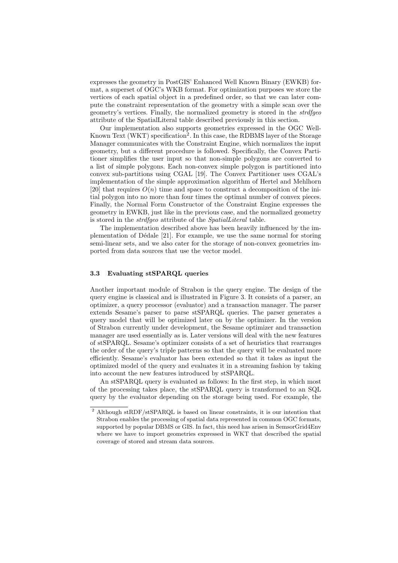expresses the geometry in PostGIS' Enhanced Well Known Binary (EWKB) format, a superset of OGC's WKB format. For optimization purposes we store the vertices of each spatial object in a predefined order, so that we can later compute the constraint representation of the geometry with a simple scan over the geometry's vertices. Finally, the normalized geometry is stored in the *strdfgeo* attribute of the SpatialLiteral table described previously in this section.

Our implementation also supports geometries expressed in the OGC Well-Known Text (WKT) specification<sup>2</sup>. In this case, the RDBMS layer of the Storage Manager communicates with the Constraint Engine, which normalizes the input geometry, but a different procedure is followed. Specifically, the Convex Partitioner simplifies the user input so that non-simple polygons are converted to a list of simple polygons. Each non-convex simple polygon is partitioned into convex sub-partitions using CGAL [19]. The Convex Partitioner uses CGAL's implementation of the simple approximation algorithm of Hertel and Mehlhorn [20] that requires  $O(n)$  time and space to construct a decomposition of the initial polygon into no more than four times the optimal number of convex pieces. Finally, the Normal Form Constructor of the Constraint Engine expresses the geometry in EWKB, just like in the previous case, and the normalized geometry is stored in the *strdfgeo* attribute of the *SpatialLiteral* table.

The implementation described above has been heavily influenced by the implementation of D´edale [21]. For example, we use the same normal for storing semi-linear sets, and we also cater for the storage of non-convex geometries imported from data sources that use the vector model.

#### **3.3 Evaluating stSPARQL queries**

Another important module of Strabon is the query engine. The design of the query engine is classical and is illustrated in Figure 3. It consists of a parser, an optimizer, a query processor (evaluator) and a transaction manager. The parser extends Sesame's parser to parse stSPARQL queries. The parser generates a query model that will be optimized later on by the optimizer. In the version of Strabon currently under development, the Sesame optimizer and transaction manager are used essentially as is. Later versions will deal with the new features of stSPARQL. Sesame's optimizer consists of a set of heuristics that rearranges the order of the query's triple patterns so that the query will be evaluated more efficiently. Sesame's evaluator has been extended so that it takes as input the optimized model of the query and evaluates it in a streaming fashion by taking into account the new features introduced by stSPARQL.

An stSPARQL query is evaluated as follows: In the first step, in which most of the processing takes place, the stSPARQL query is transformed to an SQL query by the evaluator depending on the storage being used. For example, the

<sup>&</sup>lt;sup>2</sup> Although stRDF/stSPARQL is based on linear constraints, it is our intention that Strabon enables the processing of spatial data represented in common OGC formats, supported by popular DBMS or GIS. In fact, this need has arisen in SemsorGrid4Env where we have to import geometries expressed in WKT that described the spatial coverage of stored and stream data sources.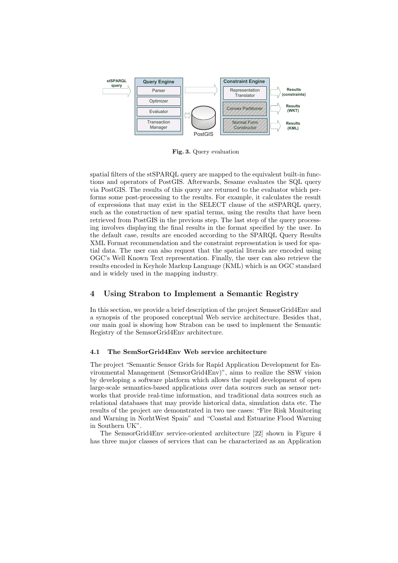

**Fig. 3.** Query evaluation

spatial filters of the stSPARQL query are mapped to the equivalent built-in functions and operators of PostGIS. Afterwards, Sesame evaluates the SQL query via PostGIS. The results of this query are returned to the evaluator which performs some post-processing to the results. For example, it calculates the result of expressions that may exist in the SELECT clause of the stSPARQL query, such as the construction of new spatial terms, using the results that have been retrieved from PostGIS in the previous step. The last step of the query processing involves displaying the final results in the format specified by the user. In the default case, results are encoded according to the SPARQL Query Results XML Format recommendation and the constraint representation is used for spatial data. The user can also request that the spatial literals are encoded using OGC's Well Known Text representation. Finally, the user can also retrieve the results encoded in Keyhole Markup Language (KML) which is an OGC standard and is widely used in the mapping industry.

# **4 Using Strabon to Implement a Semantic Registry**

In this section, we provide a brief description of the project SemsorGrid4Env and a synopsis of the proposed conceptual Web service architecture. Besides that, our main goal is showing how Strabon can be used to implement the Semantic Registry of the SemsorGrid4Env architecture.

#### **4.1 The SemSorGrid4Env Web service architecture**

The project "Semantic Sensor Grids for Rapid Application Development for Environmental Management (SemsorGrid4Env)", aims to realize the SSW vision by developing a software platform which allows the rapid development of open large-scale semantics-based applications over data sources such as sensor networks that provide real-time information, and traditional data sources such as relational databases that may provide historical data, simulation data etc. The results of the project are demonstrated in two use cases: "Fire Risk Monitoring and Warning in NorhtWest Spain" and "Coastal and Estuarine Flood Warning in Southern UK".

The SemsorGrid4Env service-oriented architecture [22] shown in Figure 4 has three major classes of services that can be characterized as an Application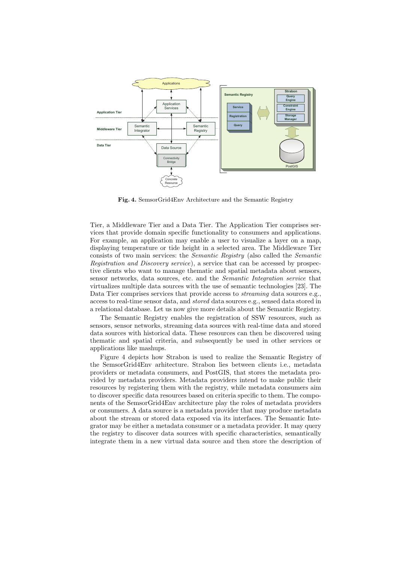

**Fig. 4.** SemsorGrid4Env Architecture and the Semantic Registry

Tier, a Middleware Tier and a Data Tier. The Application Tier comprises services that provide domain specific functionality to consumers and applications. For example, an application may enable a user to visualize a layer on a map, displaying temperature or tide height in a selected area. The Middleware Tier consists of two main services: the *Semantic Registry* (also called the *Semantic Registration and Discovery service*), a service that can be accessed by prospective clients who want to manage thematic and spatial metadata about sensors, sensor networks, data sources, etc. and the *Semantic Integration service* that virtualizes multiple data sources with the use of semantic technologies [23]. The Data Tier comprises services that provide access to *streaming* data sources e.g., access to real-time sensor data, and *stored* data sources e.g., sensed data stored in a relational database. Let us now give more details about the Semantic Registry.

The Semantic Registry enables the registration of SSW resources, such as sensors, sensor networks, streaming data sources with real-time data and stored data sources with historical data. These resources can then be discovered using thematic and spatial criteria, and subsequently be used in other services or applications like mashups.

Figure 4 depicts how Strabon is used to realize the Semantic Registry of the SemsorGrid4Env arhitecture. Strabon lies between clients i.e., metadata providers or metadata consumers, and PostGIS, that stores the metadata provided by metadata providers. Metadata providers intend to make public their resources by registering them with the registry, while metadata consumers aim to discover specific data resources based on criteria specific to them. The components of the SemsorGrid4Env architecture play the roles of metadata providers or consumers. A data source is a metadata provider that may produce metadata about the stream or stored data exposed via its interfaces. The Semantic Integrator may be either a metadata consumer or a metadata provider. It may query the registry to discover data sources with specific characteristics, semantically integrate them in a new virtual data source and then store the description of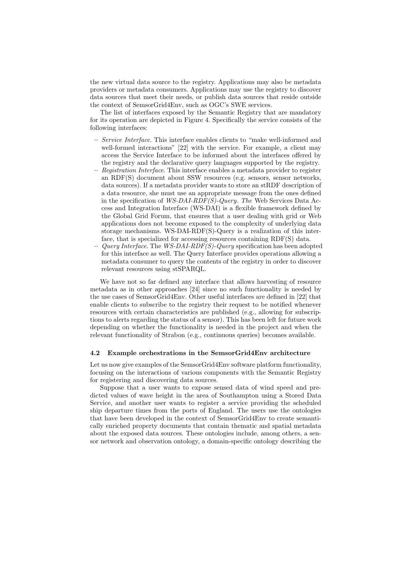the new virtual data source to the registry. Applications may also be metadata providers or metadata consumers. Applications may use the registry to discover data sources that meet their needs, or publish data sources that reside outside the context of SemsorGrid4Env, such as OGC's SWE services.

The list of interfaces exposed by the Semantic Registry that are mandatory for its operation are depicted in Figure 4. Specifically the service consists of the following interfaces:

- **–** *Service Interface*. This interface enables clients to "make well-informed and well-formed interactions" [22] with the service. For example, a client may access the Service Interface to be informed about the interfaces offered by the registry and the declarative query languages supported by the registry.
- **–** *Registration Interface*. This interface enables a metadata provider to register an RDF(S) document about SSW resources (e.g. sensors, sensor networks, data sources). If a metadata provider wants to store an stRDF description of a data resource, she must use an appropriate message from the ones defined in the specification of *WS-DAI-RDF(S)-Query. The* Web Services Data Access and Integration Interface (WS-DAI) is a flexible framework defined by the Global Grid Forum, that ensures that a user dealing with grid or Web applications does not become exposed to the complexity of underlying data storage mechanisms. WS-DAI-RDF(S)-Query is a realization of this interface, that is specialized for accessing resources containing RDF(S) data.
- **–** *Query Interface*. The *WS-DAI-RDF(S)-Query* specification has been adopted for this interface as well. The Query Interface provides operations allowing a metadata consumer to query the contents of the registry in order to discover relevant resources using stSPARQL.

We have not so far defined any interface that allows harvesting of resource metadata as in other approaches [24] since no such functionality is needed by the use cases of SemsorGrid4Env. Other useful interfaces are defined in [22] that enable clients to subscribe to the registry their request to be notified whenever resources with certain characteristics are published (e.g., allowing for subscriptions to alerts regarding the status of a sensor). This has been left for future work depending on whether the functionality is needed in the project and when the relevant functionality of Strabon (e.g., continuous queries) becomes available.

#### **4.2 Example orchestrations in the SemsorGrid4Env architecture**

Let us now give examples of the SemsorGrid4Env software platform functionality, focusing on the interactions of various components with the Semantic Registry for registering and discovering data sources.

Suppose that a user wants to expose sensed data of wind speed and predicted values of wave height in the area of Southampton using a Stored Data Service, and another user wants to register a service providing the scheduled ship departure times from the ports of England. The users use the ontologies that have been developed in the context of SemsorGrid4Env to create semantically enriched property documents that contain thematic and spatial metadata about the exposed data sources. These ontologies include, among others, a sensor network and observation ontology, a domain-specific ontology describing the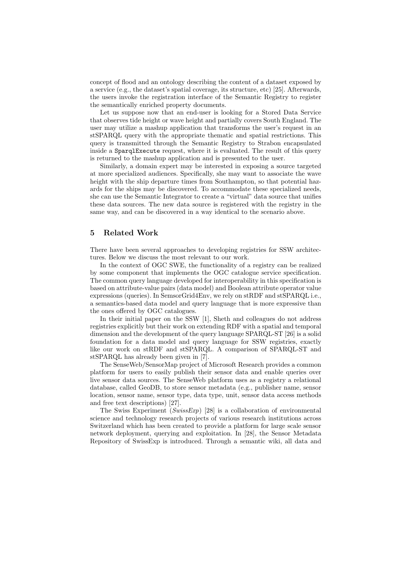concept of flood and an ontology describing the content of a dataset exposed by a service (e.g., the dataset's spatial coverage, its structure, etc) [25]. Afterwards, the users invoke the registration interface of the Semantic Registry to register the semantically enriched property documents.

Let us suppose now that an end-user is looking for a Stored Data Service that observes tide height or wave height and partially covers South England. The user may utilize a mashup application that transforms the user's request in an stSPARQL query with the appropriate thematic and spatial restrictions. This query is transmitted through the Semantic Registry to Strabon encapsulated inside a SparqlExecute request, where it is evaluated. The result of this query is returned to the mashup application and is presented to the user.

Similarly, a domain expert may be interested in exposing a source targeted at more specialized audiences. Specifically, she may want to associate the wave height with the ship departure times from Southampton, so that potential hazards for the ships may be discovered. To accommodate these specialized needs, she can use the Semantic Integrator to create a "virtual" data source that unifies these data sources. The new data source is registered with the registry in the same way, and can be discovered in a way identical to the scenario above.

# **5 Related Work**

There have been several approaches to developing registries for SSW architectures. Below we discuss the most relevant to our work.

In the context of OGC SWE, the functionality of a registry can be realized by some component that implements the OGC catalogue service specification. The common query language developed for interoperability in this specification is based on attribute-value pairs (data model) and Boolean attribute operator value expressions (queries). In SemsorGrid4Env, we rely on stRDF and stSPARQL i.e., a semantics-based data model and query language that is more expressive than the ones offered by OGC catalogues.

In their initial paper on the SSW [1], Sheth and colleagues do not address registries explicitly but their work on extending RDF with a spatial and temporal dimension and the development of the query language SPARQL-ST [26] is a solid foundation for a data model and query language for SSW registries, exactly like our work on stRDF and stSPARQL. A comparison of SPARQL-ST and stSPARQL has already been given in [7].

The SenseWeb/SensorMap project of Microsoft Research provides a common platform for users to easily publish their sensor data and enable queries over live sensor data sources. The SenseWeb platform uses as a registry a relational database, called GeoDB, to store sensor metadata (e.g., publisher name, sensor location, sensor name, sensor type, data type, unit, sensor data access methods and free text descriptions) [27].

The Swiss Experiment (*SwissExp*) [28] is a collaboration of environmental science and technology research projects of various research institutions across Switzerland which has been created to provide a platform for large scale sensor network deployment, querying and exploitation. In [28], the Sensor Metadata Repository of SwissExp is introduced. Through a semantic wiki, all data and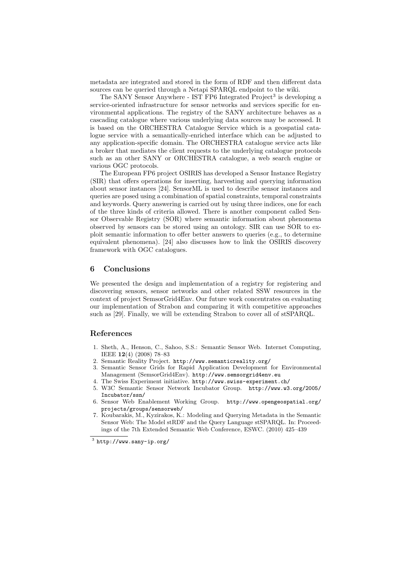metadata are integrated and stored in the form of RDF and then different data sources can be queried through a Netapi SPARQL endpoint to the wiki.

The SANY Sensor Anywhere - IST FP6 Integrated Project<sup>3</sup> is developing a service-oriented infrastructure for sensor networks and services specific for environmental applications. The registry of the SANY architecture behaves as a cascading catalogue where various underlying data sources may be accessed. It is based on the ORCHESTRA Catalogue Service which is a geospatial catalogue service with a semantically-enriched interface which can be adjusted to any application-specific domain. The ORCHESTRA catalogue service acts like a broker that mediates the client requests to the underlying catalogue protocols such as an other SANY or ORCHESTRA catalogue, a web search engine or various OGC protocols.

The European FP6 project OSIRIS has developed a Sensor Instance Registry (SIR) that offers operations for inserting, harvesting and querying information about sensor instances [24]. SensorML is used to describe sensor instances and queries are posed using a combination of spatial constraints, temporal constraints and keywords. Query answering is carried out by using three indices, one for each of the three kinds of criteria allowed. There is another component called Sensor Observable Registry (SOR) where semantic information about phenomena observed by sensors can be stored using an ontology. SIR can use SOR to exploit semantic information to offer better answers to queries (e.g., to determine equivalent phenomena). [24] also discusses how to link the OSIRIS discovery framework with OGC catalogues.

# **6 Conclusions**

We presented the design and implementation of a registry for registering and discovering sensors, sensor networks and other related SSW resources in the context of project SemsorGrid4Env. Our future work concentrates on evaluating our implementation of Strabon and comparing it with competitive approaches such as [29]. Finally, we will be extending Strabon to cover all of stSPARQL.

### **References**

- 1. Sheth, A., Henson, C., Sahoo, S.S.: Semantic Sensor Web. Internet Computing, IEEE **12**(4) (2008) 78–83
- 2. Semantic Reality Project. http://www.semanticreality.org/
- 3. Semantic Sensor Grids for Rapid Application Development for Environmental Management (SemsorGrid4Env). http://www.semsorgrid4env.eu
- 4. The Swiss Experiment initiative. http://www.swiss-experiment.ch/
- 5. W3C Semantic Sensor Network Incubator Group. http://www.w3.org/2005/ Incubator/ssn/
- 6. Sensor Web Enablement Working Group. http://www.opengeospatial.org/ projects/groups/sensorweb/
- 7. Koubarakis, M., Kyzirakos, K.: Modeling and Querying Metadata in the Semantic Sensor Web: The Model stRDF and the Query Language stSPARQL. In: Proceedings of the 7th Extended Semantic Web Conference, ESWC. (2010) 425–439

 $^3$  http://www.sany-ip.org/